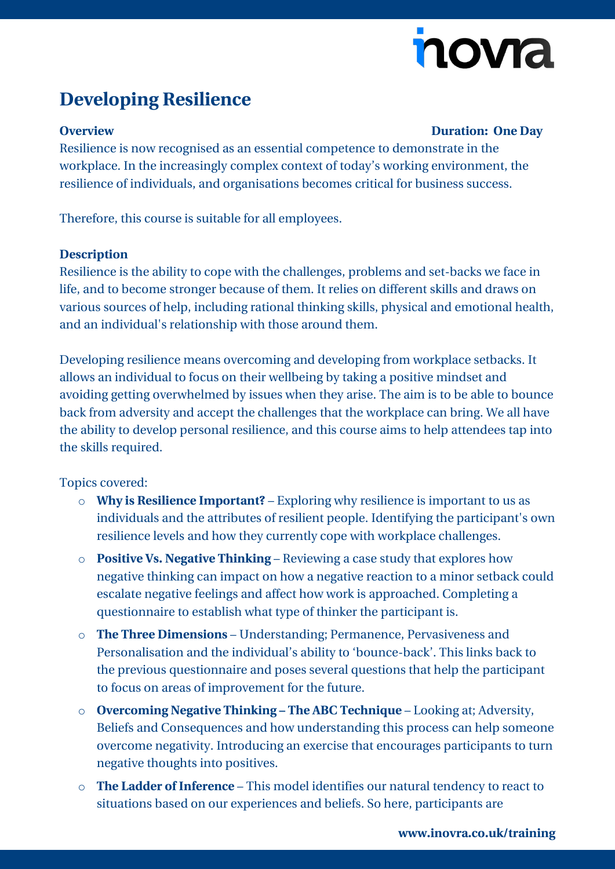# nova

## **Developing Resilience**

### **Overview Duration: One Day**

Resilience is now recognised as an essential competence to demonstrate in the workplace. In the increasingly complex context of today's working environment, the resilience of individuals, and organisations becomes critical for business success.

Therefore, this course is suitable for all employees.

#### **Description**

Resilience is the ability to cope with the challenges, problems and set-backs we face in life, and to become stronger because of them. It relies on different skills and draws on various sources of help, including rational thinking skills, physical and emotional health, and an individual's relationship with those around them.

Developing resilience means overcoming and developing from workplace setbacks. It allows an individual to focus on their wellbeing by taking a positive mindset and avoiding getting overwhelmed by issues when they arise. The aim is to be able to bounce back from adversity and accept the challenges that the workplace can bring. We all have the ability to develop personal resilience, and this course aims to help attendees tap into the skills required.

#### Topics covered:

- o **Why is Resilience Important?** Exploring why resilience is important to us as individuals and the attributes of resilient people. Identifying the participant's own resilience levels and how they currently cope with workplace challenges.
- o **Positive Vs. Negative Thinking** Reviewing a case study that explores how negative thinking can impact on how a negative reaction to a minor setback could escalate negative feelings and affect how work is approached. Completing a questionnaire to establish what type of thinker the participant is.
- o **The Three Dimensions** Understanding; Permanence, Pervasiveness and Personalisation and the individual's ability to 'bounce-back'. This links back to the previous questionnaire and poses several questions that help the participant to focus on areas of improvement for the future.
- o **Overcoming Negative Thinking – The ABC Technique** Looking at; Adversity, Beliefs and Consequences and how understanding this process can help someone overcome negativity. Introducing an exercise that encourages participants to turn negative thoughts into positives.
- o **The Ladder of Inference** This model identifies our natural tendency to react to situations based on our experiences and beliefs. So here, participants are